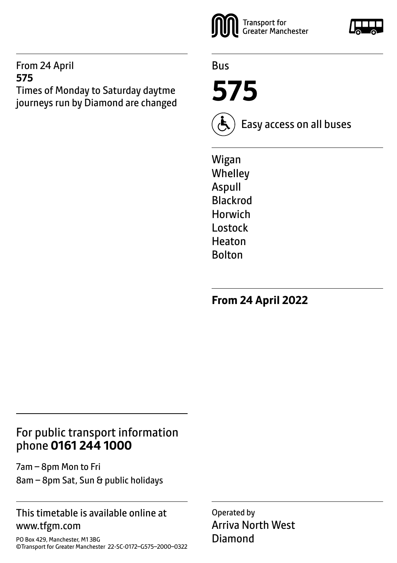#### From 24 April **575**

Times of Monday to Saturday daytme journeys run by Diamond are changed



Bus

**575**



Easy access on all buses

Wigan **Whelley** Aspull Blackrod Horwich Lostock Heaton Bolton

**From 24 April 2022**

# For public transport information phone **0161 244 1000**

7am – 8pm Mon to Fri 8am – 8pm Sat, Sun & public holidays

#### This timetable is available online at www.tfgm.com

PO Box 429, Manchester, M1 3BG ©Transport for Greater Manchester 22-SC-0172–G575–2000–0322 Operated by Arriva North West Diamond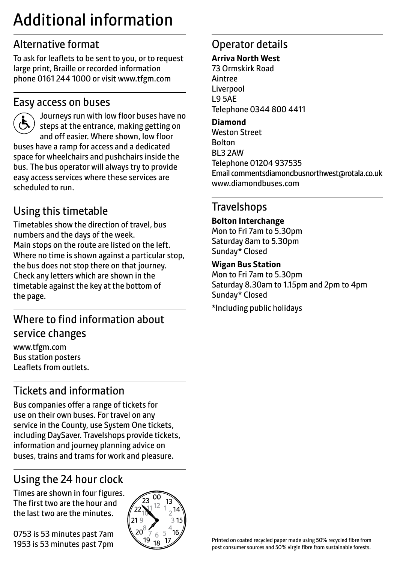# Additional information

# Alternative format

To ask for leaflets to be sent to you, or to request large print, Braille or recorded information phone 0161 244 1000 or visit www.tfgm.com

#### Easy access on buses



 Journeys run with low floor buses have no steps at the entrance, making getting on and off easier. Where shown, low floor buses have a ramp for access and a dedicated space for wheelchairs and pushchairs inside the bus. The bus operator will always try to provide easy access services where these services are scheduled to run.

# Using this timetable

Timetables show the direction of travel, bus numbers and the days of the week. Main stops on the route are listed on the left. Where no time is shown against a particular stop, the bus does not stop there on that journey. Check any letters which are shown in the timetable against the key at the bottom of the page.

# Where to find information about service changes

www.tfgm.com Bus station posters Leaflets from outlets.

# Tickets and information

Bus companies offer a range of tickets for use on their own buses. For travel on any service in the County, use System One tickets, including DaySaver. Travelshops provide tickets, information and journey planning advice on buses, trains and trams for work and pleasure.

# Using the 24 hour clock

Times are shown in four figures. The first two are the hour and the last two are the minutes.

0753 is 53 minutes past 7am 1953 is 53 minutes past 7pm



# Operator details

#### **Arriva North West**

73 Ormskirk Road Aintree Liverpool L9 5AE Telephone 0344 800 4411

#### **Diamond**

Weston Street Bolton BL3 2AW Telephone 01204 937535 Email commentsdiamondbusnorthwest@rotala.co.uk www.diamondbuses.com

# **Travelshops**

**Bolton Interchange** Mon to Fri 7am to 5.30pm Saturday 8am to 5.30pm Sunday\* Closed

#### **Wigan Bus Station**

Mon to Fri 7am to 5.30pm Saturday 8.30am to 1.15pm and 2pm to 4pm Sunday\* Closed

\*Including public holidays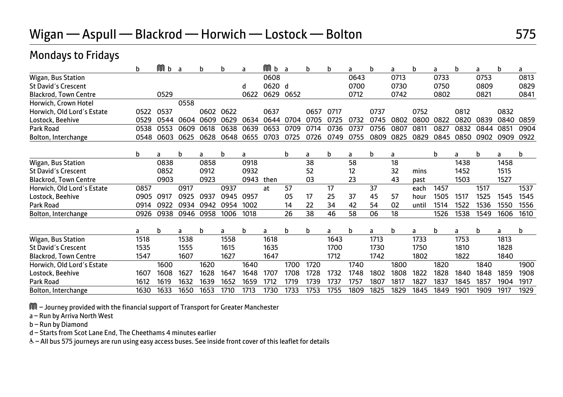# Wigan — Aspull — Blackrod — Horwich — Lostock — Bolton 675

#### Mondays to Fridays

| b                            |      | M<br>b | a    | b    | b    | a    | Mб     | a    | b    | b    | a    | b    | a    | b     | a    | b    | a    | b    | a    |
|------------------------------|------|--------|------|------|------|------|--------|------|------|------|------|------|------|-------|------|------|------|------|------|
| Wigan, Bus Station           |      |        |      |      |      |      | 0608   |      |      |      | 0643 |      | 0713 |       | 0733 |      | 0753 |      | 0813 |
| <b>St David's Crescent</b>   |      |        |      |      |      | d    | 0620 d |      |      |      | 0700 |      | 0730 |       | 0750 |      | 0809 |      | 0829 |
| <b>Blackrod, Town Centre</b> |      | 0529   |      |      |      | 0622 | 0629   | 0652 |      |      | 0712 |      | 0742 |       | 0802 |      | 0821 |      | 0841 |
| Horwich, Crown Hotel         |      |        | 0558 |      |      |      |        |      |      |      |      |      |      |       |      |      |      |      |      |
| Horwich, Old Lord's Estate   | 0522 | 0537   |      | 0602 | 0622 |      | 0637   |      | 0657 | 0717 |      | 0737 |      | 0752  |      | 0812 |      | 0832 |      |
| Lostock, Beehive             | 0529 | 0544   | 0604 | 0609 | 0629 | 0634 | 0644   | 0704 | 0705 | 0725 | 0732 | 0745 | 0802 | 0800  | 0822 | 0820 | 0839 | 0840 | 0859 |
| Park Road                    | 0538 | 0553   | 0609 | 0618 | 0638 | 0639 | 0653   | 0709 | 0714 | 0736 | 0737 | 0756 | 0807 | 0811  | 0827 | 0832 | 0844 | 0851 | 0904 |
| Bolton, Interchange          | 0548 | 0603   | 0625 | 0628 | 0648 | 0655 | 0703   | 0725 | 0726 | 0749 | 0755 | 0809 | 0825 | 0829  | 0845 | 0850 | 0902 | 0909 | 0922 |
| b                            |      | a      | b    | a    | b    | a    |        | b    | a    | b    | a    | b    | a    |       | b    | a    | b    | a    | b    |
| Wigan, Bus Station           |      | 0838   |      | 0858 |      | 0918 |        |      | 38   |      | 58   |      | 18   |       |      | 1438 |      | 1458 |      |
| <b>St David's Crescent</b>   |      | 0852   |      | 0912 |      | 0932 |        |      | 52   |      | 12   |      | 32   | mins  |      | 1452 |      | 1515 |      |
| <b>Blackrod, Town Centre</b> |      | 0903   |      | 0923 |      | 0943 | then   |      | 03   |      | 23   |      | 43   | past  |      | 1503 |      | 1527 |      |
| Horwich, Old Lord's Estate   | 0857 |        | 0917 |      | 0937 |      | at     | 57   |      | 17   |      | 37   |      | each  | 1457 |      | 1517 |      | 1537 |
| Lostock, Beehive             | 0905 | 0917   | 0925 | 0937 | 0945 | 0957 |        | 05   | 17   | 25   | 37   | 45   | 57   | hour  | 1505 | 1517 | 1525 | 1545 | 1545 |
| Park Road                    | 0914 | 0922   | 0934 | 0942 | 0954 | 1002 |        | 14   | 22   | 34   | 42   | 54   | 02   | until | 1514 | 1522 | 1536 | 1550 | 1556 |
| Bolton, Interchange          | 0926 | 0938   | 0946 | 0958 | 1006 | 1018 |        | 26   | 38   | 46   | 58   | 06   | 18   |       | 1526 | 1538 | 1549 | 1606 | 1610 |
|                              |      | b      | a    | b    | a    | b    | a      | b    | b    | a    | b    | a    | b    | a     | b    | a    | b    | a    | b    |
| a<br>Wigan, Bus Station      | 1518 |        | 1538 |      | 1558 |      | 1618   |      |      | 1643 |      | 1713 |      | 1733  |      | 1753 |      | 1813 |      |
| <b>St David's Crescent</b>   | 1535 |        | 1555 |      | 1615 |      | 1635   |      |      | 1700 |      | 1730 |      | 1750  |      | 1810 |      | 1828 |      |
| <b>Blackrod, Town Centre</b> | 1547 |        | 1607 |      | 1627 |      | 1647   |      |      | 1712 |      | 1742 |      | 1802  |      | 1822 |      | 1840 |      |
| Horwich, Old Lord's Estate   |      | 1600   |      | 1620 |      | 1640 |        | 1700 | 1720 |      | 1740 |      | 1800 |       | 1820 |      | 1840 |      | 1900 |
| Lostock, Beehive             | 1607 | 1608   | 1627 | 1628 | 1647 | 1648 | 1707   | 1708 | 1728 | 1732 | 1748 | 1802 | 1808 | 1822  | 1828 | 1840 | 1848 | 1859 | 1908 |
| Park Road                    | 1612 | 1619   | 1632 | 1639 | 1652 | 1659 | 1712   | 1719 | 1739 | 1737 | 1757 | 1807 | 1817 | 1827  | 1837 | 1845 | 1857 | 1904 | 1917 |
| Bolton, Interchange          | 1630 | 1633   | 1650 | 1653 | 1710 | 1713 | 1730   | 1733 | 1753 | 1755 | 1809 | 1825 | 1829 | 1845  | 1849 | 1901 | 1909 | 1917 | 1929 |

M – Journey provided with the financial support of Transport for Greater Manchester

a – Run by Arriva North West

b – Run by Diamond

d – Starts from Scot Lane End, The Cheethams 4 minutes earlier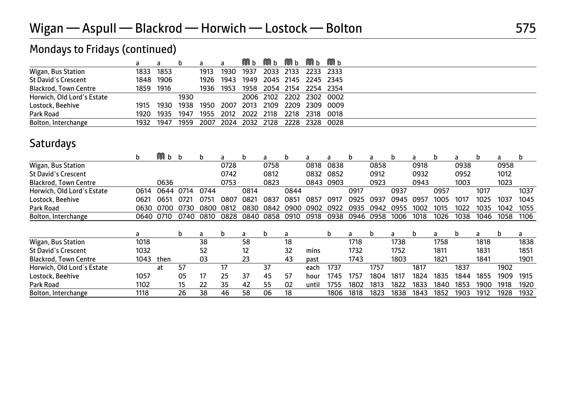|                              |           |           | b    | a    | a         | MUb                 | Mub Mub |      | MПb | Mпь                                     |
|------------------------------|-----------|-----------|------|------|-----------|---------------------|---------|------|-----|-----------------------------------------|
| Wigan, Bus Station           |           | 1833 1853 |      |      |           |                     |         |      |     | 1913 1930 1937 2033 2133 2233 2333      |
| St David's Crescent          |           | 1848 1906 |      |      |           |                     |         |      |     | 1926 1943 1949 2045 2145 2245 2345      |
| <b>Blackrod, Town Centre</b> | 1859 1916 |           |      |      | 1936 1953 |                     |         |      |     | 1958 2054 2154 2254 2354                |
| Horwich, Old Lord's Estate   |           |           | 1930 |      |           |                     |         |      |     | 2006 2102 2202 2302 0002                |
| Lostock, Beehive             |           | 1915 1930 |      |      |           |                     |         |      |     | 1938 1950 2007 2013 2109 2209 2309 0009 |
| Park Road                    | 1920      | 1935      | 1947 | 1955 |           | 2012 2022 2118      |         | 2218 |     | 2318 0018                               |
| Bolton, Interchange          | 1932      | 1947      | 1959 |      |           | 2007 2024 2032 2128 |         |      |     | 2228 2328 0028                          |

# Mondays to Fridays (continued)

## **Saturdays**

|                              | h.   | Mб   | h    | b    | a    | b    | a    | b.   | a     | a         | b    | a    | b    | a    | b    | a    | b    | a    | b    |
|------------------------------|------|------|------|------|------|------|------|------|-------|-----------|------|------|------|------|------|------|------|------|------|
| Wigan, Bus Station           |      |      |      |      | 0728 |      | 0758 |      | 0818  | 0838      |      | 0858 |      | 0918 |      | 0938 |      | 0958 |      |
| <b>St David's Crescent</b>   |      |      |      |      | 0742 |      | 0812 |      | 0832  | 0852      |      | 0912 |      | 0932 |      | 0952 |      | 1012 |      |
| <b>Blackrod, Town Centre</b> |      | 0636 |      |      | 0753 |      | 0823 |      |       | 0843 0903 |      | 0923 |      | 0943 |      | 1003 |      | 1023 |      |
| Horwich, Old Lord's Estate   | 0614 | 0644 | 0714 | 0744 |      | 0814 |      | 0844 |       |           | 0917 |      | 0937 |      | 0957 |      | 1017 |      | 1037 |
| Lostock, Beehive             | 0621 | 0651 | 072  | 0751 | 0807 | 082  | 0837 | 085  | 0857  | 0917      | 0925 | 0937 | 0945 | 0957 | 1005 | 1017 | 1025 | 1037 | 1045 |
| Park Road                    | 0630 | 0700 |      | າຂດດ | 0812 | 0830 | 0842 | റഴററ | 0902  | 0922      | 0935 | 0942 | 0955 | 1002 | 1015 | 1022 | 1035 | 1042 | 1055 |
| Bolton, Interchange          | 0640 | 0710 | 0740 | 0810 | 0828 | 0840 | 0858 | 0910 | 0918  | 0938      | 0946 | 0958 | 1006 | 1018 | 1026 | 1038 | 1046 | 1058 | 1106 |
|                              | a    |      | b    | a    | b    | a    | b    | a    |       | b         | a    | b    | a    | b    | a    | b    | a    | b    | a    |
| Wigan, Bus Station           | 1018 |      |      | 38   |      | 58   |      | 18   |       |           | 1718 |      | 1738 |      | 1758 |      | 1818 |      | 1838 |
| <b>St David's Crescent</b>   | 1032 |      |      | 52   |      | 12   |      | 32   | mins  |           | 1732 |      | 1752 |      | 1811 |      | 1831 |      | 1851 |
| <b>Blackrod, Town Centre</b> | 1043 | then |      | 03   |      | 23   |      | 43   | past  |           | 1743 |      | 1803 |      | 1821 |      | 1841 |      | 1901 |
| Horwich, Old Lord's Estate   |      | at   | 57   |      | 17   |      | 37   |      | each  | 1737      |      | 1757 |      | 1817 |      | 1837 |      | 1902 |      |
| Lostock, Beehive             | 1057 |      | 05   | 17   | 25   | 37   | 45   | 57   | hour  | 1745      | 1757 | 1804 | 1817 | 1824 | 1835 | 1844 | 1855 | 1909 | 1915 |
| Park Road                    | 1102 |      | 15   | 22   | 35   | 42   | 55   | 02   | until | 1755      | 1802 | 1813 | 1822 | 1833 | 1840 | 1853 | 1900 | 1918 | 1920 |
| Bolton, Interchange          | 1118 |      | 26   | 38   | 46   | 58   | 06   | 18   |       | 1806      | 1818 | 1823 | 1838 | 1843 | 1852 | 1903 | 1912 | 1928 | 1932 |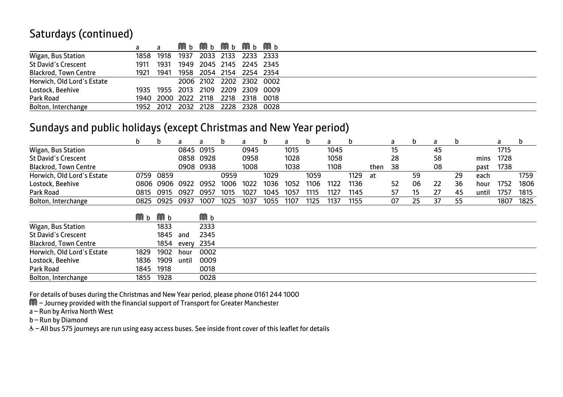#### Saturdays (continued)

|                              |      | a                             |      | <b>М ь М ь М ь М ь М ь</b> |      |  |
|------------------------------|------|-------------------------------|------|----------------------------|------|--|
| Wigan, Bus Station           |      | 1858 1918                     | 1937 | 2033 2133 2233 2333        |      |  |
| <b>St David's Crescent</b>   | 1911 | 1931                          |      | 1949 2045 2145 2245 2345   |      |  |
| <b>Blackrod, Town Centre</b> | 1921 | 1941                          |      | 1958 2054 2154 2254 2354   |      |  |
| Horwich, Old Lord's Estate   |      |                               |      | 2006 2102 2202 2302 0002   |      |  |
| Lostock, Beehive             |      | 1935 1955 2013 2109 2209 2309 |      |                            | 0009 |  |
| Park Road                    |      | 1940 2000 2022 2118 2218 2318 |      |                            | 0018 |  |
| Bolton, Interchange          |      | 1952 2012 2032 2128 2228 2328 |      |                            | 0028 |  |

#### Sundays and public holidays (except Christmas and New Year period)

|                              | b    | b    | a     | a         | b    | a    | b    | a    | b    | a    | b    |      | a  | b  | a  | b  |       | a    | b    |
|------------------------------|------|------|-------|-----------|------|------|------|------|------|------|------|------|----|----|----|----|-------|------|------|
| Wigan, Bus Station           |      |      | 0845  | 0915      |      | 0945 |      | 1015 |      | 1045 |      |      | 15 |    | 45 |    |       | 1715 |      |
| <b>St David's Crescent</b>   |      |      | 0858  | 0928      |      | 0958 |      | 1028 |      | 1058 |      |      | 28 |    | 58 |    | mins  | 1728 |      |
| <b>Blackrod, Town Centre</b> |      |      |       | 0908 0938 |      | 1008 |      | 1038 |      | 1108 |      | then | 38 |    | 08 |    | past  | 1738 |      |
| Horwich, Old Lord's Estate   | 0759 | 0859 |       |           | 0959 |      | 1029 |      | 1059 |      | 1129 | at   |    | 59 |    | 29 | each  |      | 1759 |
| Lostock, Beehive             | 0806 | 0906 | 0922  | 0952      | 1006 | 1022 | 1036 | 1052 | 1106 | 1122 | 1136 |      | 52 | 06 | 22 | 36 | hour  | 1752 | 1806 |
| Park Road                    | 0815 | 0915 | 0927  | 0957      | 1015 | 1027 | 1045 | 1057 | 1115 | 1127 | 1145 |      | 57 | 15 | 27 | 45 | until | 1757 | 1815 |
| Bolton, Interchange          | 0825 | 0925 | 0937  | 1007      | 1025 | 1037 | 1055 | 1107 | 1125 | 1137 | 1155 |      | 07 | 25 | 37 | 55 |       | 1807 | 1825 |
|                              | Mб   | MЮb  |       | Mбb       |      |      |      |      |      |      |      |      |    |    |    |    |       |      |      |
| Wigan, Bus Station           |      | 1833 |       | 2333      |      |      |      |      |      |      |      |      |    |    |    |    |       |      |      |
| <b>St David's Crescent</b>   |      | 1845 | and   | 2345      |      |      |      |      |      |      |      |      |    |    |    |    |       |      |      |
| <b>Blackrod, Town Centre</b> |      | 1854 | every | 2354      |      |      |      |      |      |      |      |      |    |    |    |    |       |      |      |
| Horwich, Old Lord's Estate   | 1829 | 1902 | hour  | 0002      |      |      |      |      |      |      |      |      |    |    |    |    |       |      |      |
| Lostock, Beehive             | 1836 | 1909 | until | 0009      |      |      |      |      |      |      |      |      |    |    |    |    |       |      |      |
| Park Road                    | 1845 | 1918 |       | 0018      |      |      |      |      |      |      |      |      |    |    |    |    |       |      |      |
| Bolton, Interchange          | 1855 | 1928 |       | 0028      |      |      |      |      |      |      |      |      |    |    |    |    |       |      |      |

For details of buses during the Christmas and New Year period, please phone 0161 244 1000

M – Journey provided with the financial support of Transport for Greater Manchester

a – Run by Arriva North West

b – Run by Diamond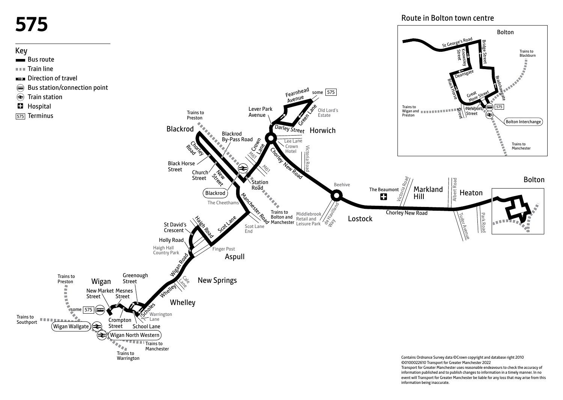# **575**

#### Key

- Bus route
- $\blacksquare$  Train line
- **EX** Direction of travel
- Bus station/connection point
- Train station
- **H** Hospital
- [575] Terminus

Route in Bolton town centre

St George's Road

Bolton

Trains to



information published and to publish changes to information in a timely manner. In no event will Transport for Greater Manchester be liable for any loss that may arise from this information being inaccurate.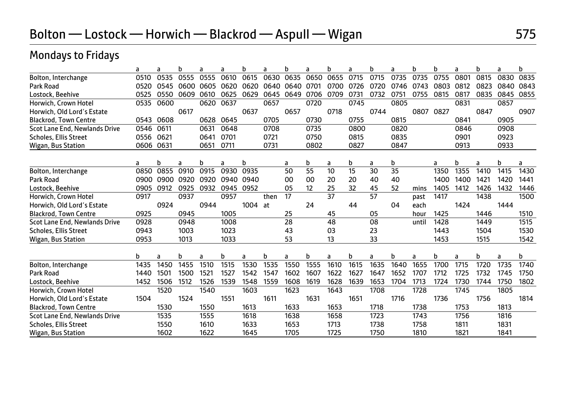# Mondays to Fridays

|                               | a         | a    | b         | a    | a         | h    | a    | h       | a    | h    | a    | b    | a    | h     | h         |      | b    | a    | b         |
|-------------------------------|-----------|------|-----------|------|-----------|------|------|---------|------|------|------|------|------|-------|-----------|------|------|------|-----------|
| Bolton, Interchange           | 0510      | 0535 | 0555      | 0555 | 0610      | 0615 | 0630 | 0635    | 0650 | 0655 | 0715 | 0715 | 0735 | 0735  | 0755      | 0801 | 0815 | 0830 | 0835      |
| Park Road                     | 0520      | 0545 | 0600      | 0605 | 0620      | 0620 | 0640 | 0640    | 0701 | 0700 | 0726 | 0720 | 0746 | 0743  | 0803      | 0812 | 0823 | 0840 | 0843      |
| Lostock, Beehive              | 0525      | 0550 | 0609      | 0610 | 0625      | 0629 | 0645 | 0649    | 0706 | 0709 | 0731 | 0732 | 0751 | 0755  | 0815      | 0817 | 0835 | 0845 | 0855      |
| Horwich, Crown Hotel          | 0535      | 0600 |           | 0620 | 0637      |      | 0657 |         | 0720 |      | 0745 |      | 0805 |       |           | 0831 |      | 0857 |           |
| Horwich, Old Lord's Estate    |           |      | 0617      |      |           | 0637 |      | 0657    |      | 0718 |      | 0744 |      | 0807  | 0827      |      | 0847 |      | 0907      |
| <b>Blackrod, Town Centre</b>  | 0543      | 0608 |           | 0628 | 0645      |      | 0705 |         | 0730 |      | 0755 |      | 0815 |       |           | 0841 |      | 0905 |           |
| Scot Lane End, Newlands Drive | 0546      | 0611 |           | 0631 | 0648      |      | 0708 |         | 0735 |      | 0800 |      | 0820 |       |           | 0846 |      | 0908 |           |
| Scholes, Ellis Street         | 0556      | 0621 |           | 0641 | 0701      |      | 0721 |         | 0750 |      | 0815 |      | 0835 |       |           | 0901 |      | 0923 |           |
| Wigan, Bus Station            | 0606      | 0631 |           | 0651 | 0711      |      | 0731 |         | 0802 |      | 0827 |      | 0847 |       |           | 0913 |      | 0933 |           |
|                               |           | b    |           | b    |           | b    |      |         | b    | a    | b    | a    | b    |       |           | b    | a    | b    |           |
| Bolton, Interchange           | a<br>0850 | 0855 | a<br>0910 | 0915 | a<br>0930 | 0935 |      | a<br>50 | 55   | 10   | 15   | 30   | 35   |       | a<br>1350 | 1355 | 1410 | 1415 | a<br>1430 |
| Park Road                     | 0900      | 0900 | 0920      | 0920 | 0940      | 0940 |      | 00      | 00   | 20   | 20   | 40   | 40   |       | 1400      | 1400 | 1421 | 1420 | 1441      |
| Lostock, Beehive              | 0905      | 0912 | 0925      | 0932 | 0945      | 0952 |      | 05      | 12   | 25   | 32   | 45   | 52   | mins  | 1405      | 1412 | 1426 | 1432 | 1446      |
| Horwich, Crown Hotel          | 0917      |      | 0937      |      | 0957      |      | then | 17      |      | 37   |      | 57   |      | past  | 1417      |      | 1438 |      | 1500      |
| Horwich, Old Lord's Estate    |           | 0924 |           | 0944 |           | 1004 | at   |         | 24   |      | 44   |      | 04   | each  |           | 1424 |      | 1444 |           |
| <b>Blackrod, Town Centre</b>  | 0925      |      | 0945      |      | 1005      |      |      | 25      |      | 45   |      | 05   |      | hour  | 1425      |      | 1446 |      | 1510      |
| Scot Lane End, Newlands Drive | 0928      |      | 0948      |      | 1008      |      |      | 28      |      | 48   |      | 08   |      | until | 1428      |      | 1449 |      | 1515      |
| <b>Scholes, Ellis Street</b>  | 0943      |      | 1003      |      | 1023      |      |      | 43      |      | 03   |      | 23   |      |       | 1443      |      | 1504 |      | 1530      |
| Wigan, Bus Station            | 0953      |      | 1013      |      | 1033      |      |      | 53      |      | 13   |      | 33   |      |       | 1453      |      | 1515 |      | 1542      |
|                               |           |      |           |      |           |      |      |         |      |      |      |      |      |       |           |      |      |      |           |
|                               | b         | a    | b         | a    | b         | a    | b    | a       | b    | a    | b    | a    | b    | a     | b         | a    | b    | a    | b         |
| Bolton, Interchange           | 1435      | 1450 | 1455      | 1510 | 1515      | 1530 | 1535 | 1550    | 1555 | 1610 | 1615 | 1635 | 1640 | 1655  | 1700      | 1715 | 1720 | 1735 | 1740      |
| Park Road                     | 1440      | 1501 | 1500      | 1521 | 1527      | 1542 | 1547 | 1602    | 1607 | 1622 | 1627 | 1647 | 1652 | 1707  | 1712      | 1725 | 1732 | 1745 | 1750      |
| Lostock, Beehive              | 1452      | 1506 | 1512      | 1526 | 1539      | 1548 | 1559 | 1608    | 1619 | 1628 | 1639 | 1653 | 1704 | 1713  | 1724      | 1730 | 1744 | 1750 | 1802      |
| Horwich, Crown Hotel          |           | 1520 |           | 1540 |           | 1603 |      | 1623    |      | 1643 |      | 1708 |      | 1728  |           | 1745 |      | 1805 |           |
| Horwich, Old Lord's Estate    | 1504      |      | 1524      |      | 1551      |      | 1611 |         | 1631 |      | 1651 |      | 1716 |       | 1736      |      | 1756 |      | 1814      |
| <b>Blackrod, Town Centre</b>  |           | 1530 |           | 1550 |           | 1613 |      | 1633    |      | 1653 |      | 1718 |      | 1738  |           | 1753 |      | 1813 |           |
| Scot Lane End, Newlands Drive |           | 1535 |           | 1555 |           | 1618 |      | 1638    |      | 1658 |      | 1723 |      | 1743  |           | 1756 |      | 1816 |           |
| Scholes, Ellis Street         |           | 1550 |           | 1610 |           | 1633 |      | 1653    |      | 1713 |      | 1738 |      | 1758  |           | 1811 |      | 1831 |           |
| Wigan, Bus Station            |           | 1602 |           | 1622 |           | 1645 |      | 1705    |      | 1725 |      | 1750 |      | 1810  |           | 1821 |      | 1841 |           |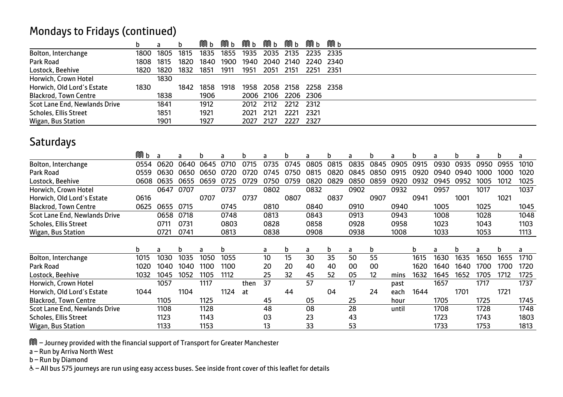#### Mondays to Fridays (continued)

|                               | h.   |      |      | MОb  | Mпь  | MОb  | MОb       | MТb       |      | Mпь                 |
|-------------------------------|------|------|------|------|------|------|-----------|-----------|------|---------------------|
| Bolton, Interchange           | 1800 | 1805 | 1815 | 1835 | 1855 | 1935 | 2035      | 2135      |      | 2235 2335           |
| Park Road                     | 1808 | 1815 | 1820 | 1840 | 1900 | 1940 |           |           |      | 2040 2140 2240 2340 |
| Lostock, Beehive              | 1820 | 1820 | 1832 | 1851 | 1911 | 1951 | 2051      | 2151      |      | 2251 2351           |
| Horwich, Crown Hotel          |      | 1830 |      |      |      |      |           |           |      |                     |
| Horwich, Old Lord's Estate    | 1830 |      | 1842 | 1858 | 1918 | 1958 | 2058 2158 |           |      | 2258 2358           |
| <b>Blackrod, Town Centre</b>  |      | 1838 |      | 1906 |      |      | 2006 2106 | 2206 2306 |      |                     |
| Scot Lane End, Newlands Drive |      | 1841 |      | 1912 |      | 2012 | 2112      | 2212      | 2312 |                     |
| Scholes, Ellis Street         |      | 1851 |      | 1921 |      | 2021 | 2121      | 2221      | 2321 |                     |
| Wigan, Bus Station            |      | 1901 |      | 1927 |      | 2027 | 2127      | 2227      | 2327 |                     |

#### **Saturdays**

|                               | Mв   | a    | a    | b    | a    | b    | a    | b    | a    | b    | a    | b    | a     | b    |      | b    | a    | b    | a    |
|-------------------------------|------|------|------|------|------|------|------|------|------|------|------|------|-------|------|------|------|------|------|------|
| Bolton, Interchange           | 0554 | 0620 | 0640 | 0645 | 0710 | 0715 | 0735 | 0745 | 0805 | 0815 | 0835 | 0845 | 0905  | 0915 | 0930 | 0935 | 0950 | 0955 | 1010 |
| Park Road                     | 0559 | กราก | กธรก | በ65በ |      | 0720 | 0745 | 0750 | 0815 | 0820 | 0845 | 0850 | 0915  | 0920 | 0940 | 0940 | 1000 | 1000 | 1020 |
| Lostock, Beehive              | 0608 | 0635 | 0655 | 0659 | 0725 | 0729 | 0750 | 0759 | 0820 | 0829 | 0850 | 0859 | 0920  | 0932 | 0945 | 0952 | 1005 | 1012 | 1025 |
| Horwich, Crown Hotel          |      | 0647 | 0707 |      | 0737 |      | 0802 |      | 0832 |      | 0902 |      | 0932  |      | 0957 |      | 1017 |      | 1037 |
| Horwich, Old Lord's Estate    | 0616 |      |      | 0707 |      | 0737 |      | 0807 |      | 0837 |      | 0907 |       | 0941 |      | 1001 |      | 1021 |      |
| <b>Blackrod, Town Centre</b>  | 0625 | 0655 | 0715 |      | 0745 |      | 0810 |      | 0840 |      | 0910 |      | 0940  |      | 1005 |      | 1025 |      | 1045 |
| Scot Lane End, Newlands Drive |      | 0658 | 0718 |      | 0748 |      | 0813 |      | 0843 |      | 0913 |      | 0943  |      | 1008 |      | 1028 |      | 1048 |
| Scholes, Ellis Street         |      | 0711 | 0731 |      | 0803 |      | 0828 |      | 0858 |      | 0928 |      | 0958  |      | 1023 |      | 1043 |      | 1103 |
| Wigan, Bus Station            |      | 0721 | 0741 |      | 0813 |      | 0838 |      | 0908 |      | 0938 |      | 1008  |      | 1033 |      | 1053 |      | 1113 |
|                               |      |      |      |      |      |      |      |      |      |      |      |      |       |      |      |      |      |      |      |
|                               | b    | a    | b    | a    | b    |      | a    | b    | a    | b    | a    | b    |       | b    |      | b    | a    | b    | a    |
| Bolton, Interchange           | 1015 | 1030 | 1035 | 1050 | 1055 |      | 10   | 15   | 30   | 35   | 50   | 55   |       | 1615 | 1630 | 1635 | 1650 | 1655 | 1710 |
| Park Road                     | 1020 | 1040 | 1040 | 1100 | 1100 |      | 20   | 20   | 40   | 40   | 00   | 00   |       | 1620 | 1640 | 1640 | 1700 | 1700 | 1720 |
| Lostock, Beehive              | 1032 | 1045 | 1052 | 1105 | 1112 |      | 25   | 32   | 45   | 52   | 05   | 12   | mins  | 1632 | 1645 | 1652 | 1705 | 1712 | 1725 |
| Horwich, Crown Hotel          |      | 1057 |      | 1117 |      | then | 37   |      | 57   |      | 17   |      | past  |      | 1657 |      | 1717 |      | 1737 |
| Horwich, Old Lord's Estate    | 1044 |      | 1104 |      | 1124 | at   |      | 44   |      | 04   |      | 24   | each  | 1644 |      | 1701 |      | 1721 |      |
| <b>Blackrod, Town Centre</b>  |      | 1105 |      | 1125 |      |      | 45   |      | 05   |      | 25   |      | hour  |      | 1705 |      | 1725 |      | 1745 |
| Scot Lane End, Newlands Drive |      | 1108 |      | 1128 |      |      | 48   |      | 08   |      | 28   |      | until |      | 1708 |      | 1728 |      | 1748 |
| Scholes, Ellis Street         |      | 1123 |      | 1143 |      |      | 03   |      | 23   |      | 43   |      |       |      | 1723 |      | 1743 |      | 1803 |
| Wigan, Bus Station            |      | 1133 |      | 1153 |      |      | 13   |      | 33   |      | 53   |      |       |      | 1733 |      | 1753 |      | 1813 |

M – Journey provided with the financial support of Transport for Greater Manchester

a – Run by Arriva North West

b – Run by Diamond